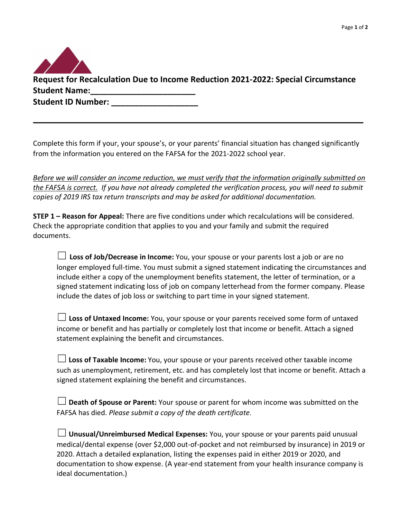

Complete this form if your, your spouse's, or your parents' financial situation has changed significantly from the information you entered on the FAFSA for the 2021-2022 school year.

\_\_\_\_\_\_\_\_\_\_\_\_\_\_\_\_\_\_\_\_\_\_\_\_\_\_\_\_\_\_\_\_\_\_\_\_\_\_\_\_\_\_\_\_\_\_\_\_\_\_\_\_\_\_\_\_\_\_\_\_\_\_\_\_\_ \_\_\_\_\_\_\_\_\_\_\_\_\_

*Before we will consider an income reduction, we must verify that the information originally submitted on the FAFSA is correct. If you have not already completed the verification process, you will need to submit copies of 2019 IRS tax return transcripts and may be asked for additional documentation.*

**STEP 1 – Reason for Appeal:** There are five conditions under which recalculations will be considered. Check the appropriate condition that applies to you and your family and submit the required documents.

☐ **Loss of Job/Decrease in Income:** You, your spouse or your parents lost a job or are no longer employed full-time. You must submit a signed statement indicating the circumstances and include either a copy of the unemployment benefits statement, the letter of termination, or a signed statement indicating loss of job on company letterhead from the former company. Please include the dates of job loss or switching to part time in your signed statement.

☐ **Loss of Untaxed Income:** You, your spouse or your parents received some form of untaxed income or benefit and has partially or completely lost that income or benefit. Attach a signed statement explaining the benefit and circumstances.

☐**Loss of Taxable Income:** You, your spouse or your parents received other taxable income such as unemployment, retirement, etc. and has completely lost that income or benefit. Attach a signed statement explaining the benefit and circumstances.

| $\Box$ Death of Spouse or Parent: Your spouse or parent for whom income was submitted on the |
|----------------------------------------------------------------------------------------------|
| FAFSA has died. Please submit a copy of the death certificate.                               |

| $\Box$ Unusual/Unreimbursed Medical Expenses: You, your spouse or your parents paid unusual    |
|------------------------------------------------------------------------------------------------|
| medical/dental expense (over \$2,000 out-of-pocket and not reimbursed by insurance) in 2019 or |
| 2020. Attach a detailed explanation, listing the expenses paid in either 2019 or 2020, and     |
| documentation to show expense. (A year-end statement from your health insurance company is     |
| ideal documentation.)                                                                          |